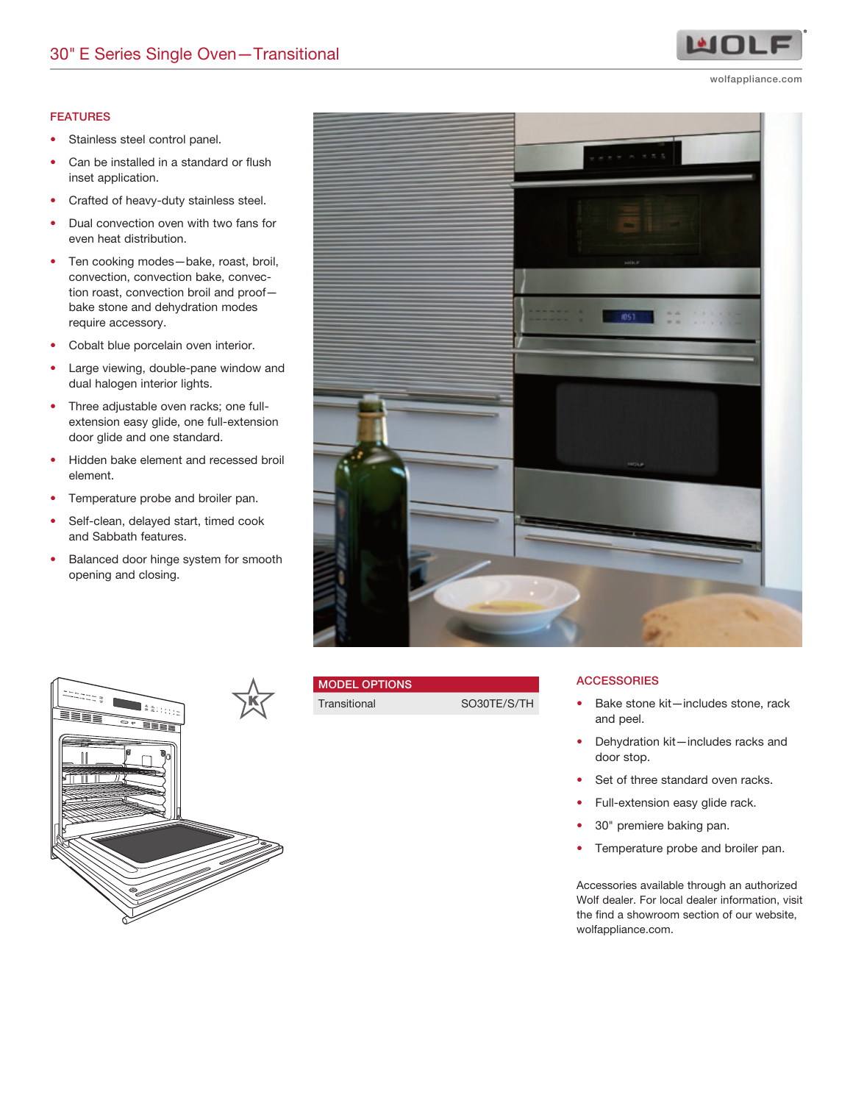#### FEATURES

- Stainless steel control panel.
- Can be installed in a standard or flush inset application.
- Crafted of heavy-duty stainless steel.
- Dual convection oven with two fans for even heat distribution.
- Ten cooking modes—bake, roast, broil, convection, convection bake, convection roast, convection broil and proof bake stone and dehydration modes require accessory.
- Cobalt blue porcelain oven interior.
- Large viewing, double-pane window and dual halogen interior lights.
- Three adjustable oven racks; one fullextension easy glide, one full-extension door glide and one standard.
- Hidden bake element and recessed broil element.
- Temperature probe and broiler pan.
- Self-clean, delayed start, timed cook and Sabbath features.
- Balanced door hinge system for smooth opening and closing.





## MODEL OPTIONS

Transitional SO30TE/S/TH

**ACCESSORIES** 

- Bake stone kit—includes stone, rack and peel.
- Dehydration kit—includes racks and door stop.
- Set of three standard oven racks.
- Full-extension easy glide rack.
- 30" premiere baking pan.
- Temperature probe and broiler pan.

Accessories available through an authorized Wolf dealer. For local dealer information, visit the find a showroom section of our website, wolfappliance.com.



wolfappliance.com